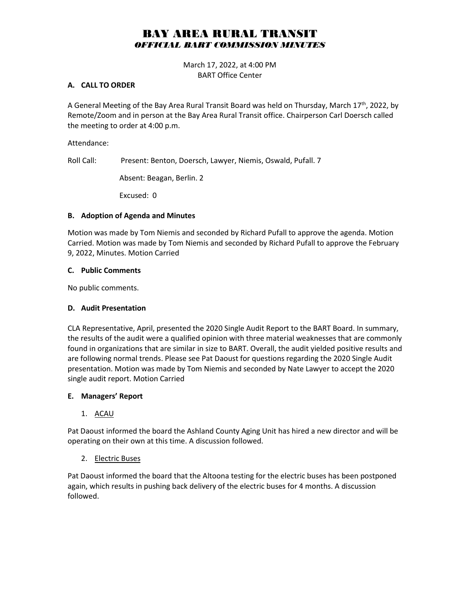# BAY AREA RURAL TRANSIT *OFFICIAL BART COMMISSION MINUTES*

March 17, 2022, at 4:00 PM BART Office Center

#### **A. CALL TO ORDER**

A General Meeting of the Bay Area Rural Transit Board was held on Thursday, March 17<sup>th</sup>, 2022, by Remote/Zoom and in person at the Bay Area Rural Transit office. Chairperson Carl Doersch called the meeting to order at 4:00 p.m.

Attendance:

Roll Call: Present: Benton, Doersch, Lawyer, Niemis, Oswald, Pufall. 7

Absent: Beagan, Berlin. 2

Excused: 0

### **B. Adoption of Agenda and Minutes**

Motion was made by Tom Niemis and seconded by Richard Pufall to approve the agenda. Motion Carried. Motion was made by Tom Niemis and seconded by Richard Pufall to approve the February 9, 2022, Minutes. Motion Carried

### **C. Public Comments**

No public comments.

## **D. Audit Presentation**

CLA Representative, April, presented the 2020 Single Audit Report to the BART Board. In summary, the results of the audit were a qualified opinion with three material weaknesses that are commonly found in organizations that are similar in size to BART. Overall, the audit yielded positive results and are following normal trends. Please see Pat Daoust for questions regarding the 2020 Single Audit presentation. Motion was made by Tom Niemis and seconded by Nate Lawyer to accept the 2020 single audit report. Motion Carried

## **E. Managers' Report**

1. ACAU

Pat Daoust informed the board the Ashland County Aging Unit has hired a new director and will be operating on their own at this time. A discussion followed.

## 2. Electric Buses

Pat Daoust informed the board that the Altoona testing for the electric buses has been postponed again, which results in pushing back delivery of the electric buses for 4 months. A discussion followed.